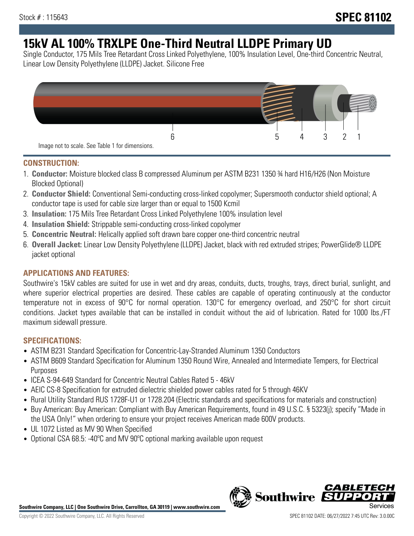# **15kV AL 100% TRXLPE One-Third Neutral LLDPE Primary UD**

Single Conductor, 175 Mils Tree Retardant Cross Linked Polyethylene, 100% Insulation Level, One-third Concentric Neutral, Linear Low Density Polyethylene (LLDPE) Jacket. Silicone Free



### **CONSTRUCTION:**

- 1. **Conductor:** Moisture blocked class B compressed Aluminum per ASTM B231 1350 ¾ hard H16/H26 (Non Moisture Blocked Optional)
- 2. **Conductor Shield:** Conventional Semi-conducting cross-linked copolymer; Supersmooth conductor shield optional; A conductor tape is used for cable size larger than or equal to 1500 Kcmil
- 3. **Insulation:** 175 Mils Tree Retardant Cross Linked Polyethylene 100% insulation level
- 4. **Insulation Shield:** Strippable semi-conducting cross-linked copolymer
- 5. **Concentric Neutral:** Helically applied soft drawn bare copper one-third concentric neutral
- 6. **Overall Jacket:** Linear Low Density Polyethylene (LLDPE) Jacket, black with red extruded stripes; PowerGlide® LLDPE jacket optional

### **APPLICATIONS AND FEATURES:**

Southwire's 15kV cables are suited for use in wet and dry areas, conduits, ducts, troughs, trays, direct burial, sunlight, and where superior electrical properties are desired. These cables are capable of operating continuously at the conductor temperature not in excess of 90°C for normal operation. 130°C for emergency overload, and 250°C for short circuit conditions. Jacket types available that can be installed in conduit without the aid of lubrication. Rated for 1000 lbs./FT maximum sidewall pressure.

### **SPECIFICATIONS:**

- ASTM B231 Standard Specification for Concentric-Lay-Stranded Aluminum 1350 Conductors
- ASTM B609 Standard Specification for Aluminum 1350 Round Wire, Annealed and Intermediate Tempers, for Electrical Purposes
- ICEA S-94-649 Standard for Concentric Neutral Cables Rated 5 46kV
- AEIC CS-8 Specification for extruded dielectric shielded power cables rated for 5 through 46KV
- Rural Utility Standard RUS 1728F-U1 or 1728.204 (Electric standards and specifications for materials and construction)
- Buy American: Buy American: Compliant with Buy American Requirements, found in 49 U.S.C. § 5323(j); specify "Made in the USA Only!" when ordering to ensure your project receives American made 600V products.
- UL 1072 Listed as MV 90 When Specified
- Optional CSA 68.5: -40°C and MV 90°C optional marking available upon request



*CABLE*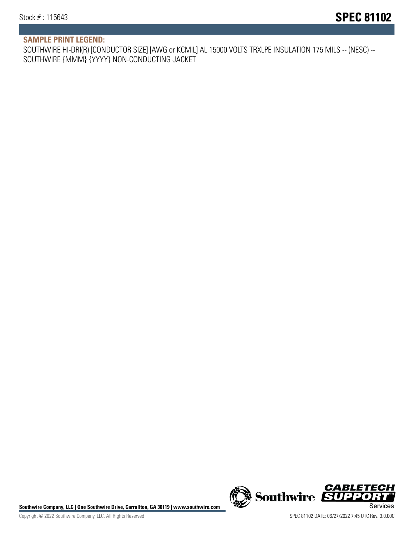## **SAMPLE PRINT LEGEND:**

SOUTHWIRE HI-DRI(R) [CONDUCTOR SIZE] [AWG or KCMIL] AL 15000 VOLTS TRXLPE INSULATION 175 MILS -- (NESC) -- SOUTHWIRE {MMM} {YYYY} NON-CONDUCTING JACKET